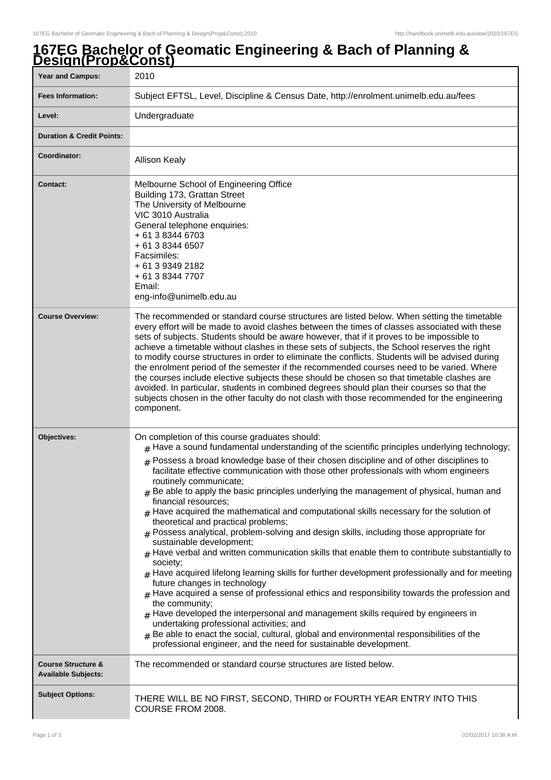## **167EG Bachelor of Geomatic Engineering & Bach of Planning & Design(Prop&Const)**

| <u>рсэгин гараооны</u><br><b>Year and Campus:</b>           | 2010                                                                                                                                                                                                                                                                                                                                                                                                                                                                                                                                                                                                                                                                                                                                                                                                                                                                                                                                                                                                                                                                                                                                                                                                                                                                                                                                                                                                                                                       |
|-------------------------------------------------------------|------------------------------------------------------------------------------------------------------------------------------------------------------------------------------------------------------------------------------------------------------------------------------------------------------------------------------------------------------------------------------------------------------------------------------------------------------------------------------------------------------------------------------------------------------------------------------------------------------------------------------------------------------------------------------------------------------------------------------------------------------------------------------------------------------------------------------------------------------------------------------------------------------------------------------------------------------------------------------------------------------------------------------------------------------------------------------------------------------------------------------------------------------------------------------------------------------------------------------------------------------------------------------------------------------------------------------------------------------------------------------------------------------------------------------------------------------------|
| <b>Fees Information:</b>                                    | Subject EFTSL, Level, Discipline & Census Date, http://enrolment.unimelb.edu.au/fees                                                                                                                                                                                                                                                                                                                                                                                                                                                                                                                                                                                                                                                                                                                                                                                                                                                                                                                                                                                                                                                                                                                                                                                                                                                                                                                                                                       |
| Level:                                                      | Undergraduate                                                                                                                                                                                                                                                                                                                                                                                                                                                                                                                                                                                                                                                                                                                                                                                                                                                                                                                                                                                                                                                                                                                                                                                                                                                                                                                                                                                                                                              |
| <b>Duration &amp; Credit Points:</b>                        |                                                                                                                                                                                                                                                                                                                                                                                                                                                                                                                                                                                                                                                                                                                                                                                                                                                                                                                                                                                                                                                                                                                                                                                                                                                                                                                                                                                                                                                            |
| Coordinator:                                                | <b>Allison Kealy</b>                                                                                                                                                                                                                                                                                                                                                                                                                                                                                                                                                                                                                                                                                                                                                                                                                                                                                                                                                                                                                                                                                                                                                                                                                                                                                                                                                                                                                                       |
| <b>Contact:</b>                                             | Melbourne School of Engineering Office<br>Building 173, Grattan Street<br>The University of Melbourne<br>VIC 3010 Australia<br>General telephone enquiries:<br>+ 61 3 8344 6703<br>+ 61 3 8344 6507<br>Facsimiles:<br>+ 61 3 9349 2182<br>+ 61 3 8344 7707<br>Email:<br>eng-info@unimelb.edu.au                                                                                                                                                                                                                                                                                                                                                                                                                                                                                                                                                                                                                                                                                                                                                                                                                                                                                                                                                                                                                                                                                                                                                            |
| <b>Course Overview:</b>                                     | The recommended or standard course structures are listed below. When setting the timetable<br>every effort will be made to avoid clashes between the times of classes associated with these<br>sets of subjects. Students should be aware however, that if it proves to be impossible to<br>achieve a timetable without clashes in these sets of subjects, the School reserves the right<br>to modify course structures in order to eliminate the conflicts. Students will be advised during<br>the enrolment period of the semester if the recommended courses need to be varied. Where<br>the courses include elective subjects these should be chosen so that timetable clashes are<br>avoided. In particular, students in combined degrees should plan their courses so that the<br>subjects chosen in the other faculty do not clash with those recommended for the engineering<br>component.                                                                                                                                                                                                                                                                                                                                                                                                                                                                                                                                                         |
| Objectives:                                                 | On completion of this course graduates should:<br>$#$ Have a sound fundamental understanding of the scientific principles underlying technology;<br>$#$ Possess a broad knowledge base of their chosen discipline and of other disciplines to<br>facilitate effective communication with those other professionals with whom engineers<br>routinely communicate;<br>$#$ Be able to apply the basic principles underlying the management of physical, human and<br>financial resources;<br>$_{\text{\#}}$ Have acquired the mathematical and computational skills necessary for the solution of<br>theoretical and practical problems;<br>$#$ Possess analytical, problem-solving and design skills, including those appropriate for<br>sustainable development;<br>$#$ Have verbal and written communication skills that enable them to contribute substantially to<br>society;<br>$_{\#}$ Have acquired lifelong learning skills for further development professionally and for meeting<br>future changes in technology<br>$_{\rm #}$ Have acquired a sense of professional ethics and responsibility towards the profession and<br>the community;<br>$#$ Have developed the interpersonal and management skills required by engineers in<br>undertaking professional activities; and<br>Be able to enact the social, cultural, global and environmental responsibilities of the<br>#<br>professional engineer, and the need for sustainable development. |
| <b>Course Structure &amp;</b><br><b>Available Subjects:</b> | The recommended or standard course structures are listed below.                                                                                                                                                                                                                                                                                                                                                                                                                                                                                                                                                                                                                                                                                                                                                                                                                                                                                                                                                                                                                                                                                                                                                                                                                                                                                                                                                                                            |
| <b>Subject Options:</b>                                     | THERE WILL BE NO FIRST, SECOND, THIRD or FOURTH YEAR ENTRY INTO THIS<br>COURSE FROM 2008.                                                                                                                                                                                                                                                                                                                                                                                                                                                                                                                                                                                                                                                                                                                                                                                                                                                                                                                                                                                                                                                                                                                                                                                                                                                                                                                                                                  |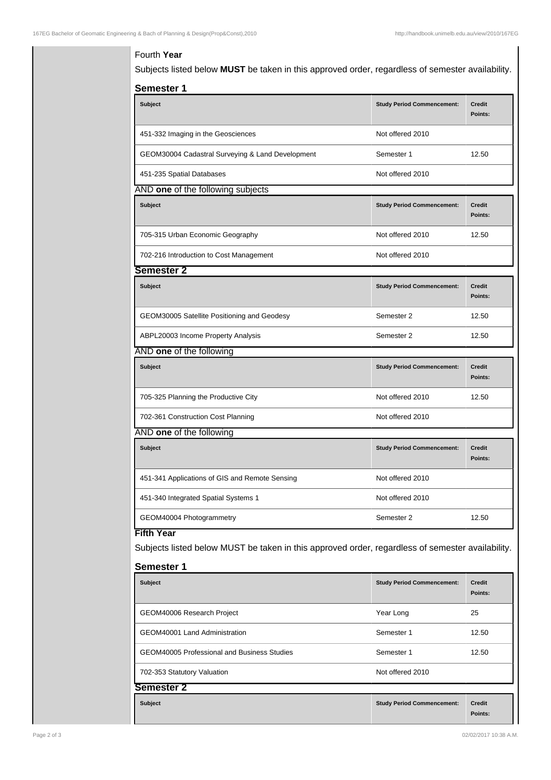## Fourth **Year**

Subjects listed below **MUST** be taken in this approved order, regardless of semester availability.

| Semester 1                                                                                                                                 |                                   |                          |  |  |
|--------------------------------------------------------------------------------------------------------------------------------------------|-----------------------------------|--------------------------|--|--|
| <b>Subject</b>                                                                                                                             | <b>Study Period Commencement:</b> | <b>Credit</b><br>Points: |  |  |
| 451-332 Imaging in the Geosciences                                                                                                         | Not offered 2010                  |                          |  |  |
| GEOM30004 Cadastral Surveying & Land Development                                                                                           | Semester 1                        | 12.50                    |  |  |
| 451-235 Spatial Databases                                                                                                                  | Not offered 2010                  |                          |  |  |
| AND one of the following subjects                                                                                                          |                                   |                          |  |  |
| <b>Subject</b>                                                                                                                             | <b>Study Period Commencement:</b> | <b>Credit</b><br>Points: |  |  |
| 705-315 Urban Economic Geography                                                                                                           | Not offered 2010                  | 12.50                    |  |  |
| 702-216 Introduction to Cost Management                                                                                                    | Not offered 2010                  |                          |  |  |
| Semester 2                                                                                                                                 |                                   |                          |  |  |
| Subject                                                                                                                                    | <b>Study Period Commencement:</b> | <b>Credit</b><br>Points: |  |  |
| GEOM30005 Satellite Positioning and Geodesy                                                                                                | Semester 2                        | 12.50                    |  |  |
| ABPL20003 Income Property Analysis                                                                                                         | Semester 2                        | 12.50                    |  |  |
| AND one of the following                                                                                                                   |                                   |                          |  |  |
| <b>Subject</b>                                                                                                                             | <b>Study Period Commencement:</b> | <b>Credit</b><br>Points: |  |  |
| 705-325 Planning the Productive City                                                                                                       | Not offered 2010                  | 12.50                    |  |  |
| 702-361 Construction Cost Planning                                                                                                         | Not offered 2010                  |                          |  |  |
| AND one of the following                                                                                                                   |                                   |                          |  |  |
| <b>Subject</b>                                                                                                                             | <b>Study Period Commencement:</b> | <b>Credit</b><br>Points: |  |  |
| 451-341 Applications of GIS and Remote Sensing                                                                                             | Not offered 2010                  |                          |  |  |
| 451-340 Integrated Spatial Systems 1                                                                                                       | Not offered 2010                  |                          |  |  |
| GEOM40004 Photogrammetry                                                                                                                   | Semester 2                        | 12.50                    |  |  |
| <b>Fifth Year</b><br>Subjects listed below MUST be taken in this approved order, regardless of semester availability.<br><b>Semester 1</b> |                                   |                          |  |  |
| <b>Subject</b>                                                                                                                             | <b>Study Period Commencement:</b> | <b>Credit</b><br>Points: |  |  |
| GEOM40006 Research Project                                                                                                                 | Year Long                         | 25                       |  |  |
| GEOM40001 Land Administration                                                                                                              | Semester 1                        | 12.50                    |  |  |
| <b>GEOM40005 Professional and Business Studies</b>                                                                                         | Semester 1                        | 12.50                    |  |  |
| 702-353 Statutory Valuation                                                                                                                | Not offered 2010                  |                          |  |  |
| Semester 2                                                                                                                                 |                                   |                          |  |  |

**Subject Study Period Commencement: Credit Points:**